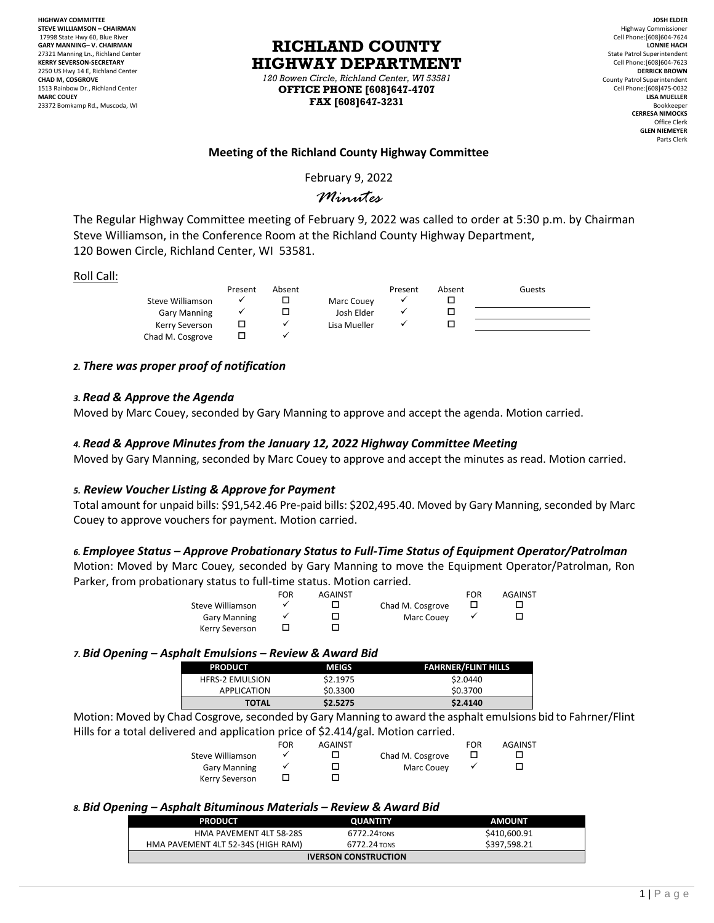**HIGHWAY COMMITTEE STEVE WILLIAMSON – CHAIRMAN** 17998 State Hwy 60, Blue River **GARY MANNING– V. CHAIRMAN** 27321 Manning Ln., Richland Center **KERRY SEVERSON-SECRETARY** 2250 US Hwy 14 E, Richland Center **CHAD M, COSGROVE** 1513 Rainbow Dr., Richland Center **MARC COUEY** 23372 Bomkamp Rd., Muscoda, WI

# **RICHLAND COUNTY HIGHWAY DEPARTMENT**

*120 Bowen Circle, Richland Center, WI 53581* **OFFICE PHONE [608]647-4707 FAX [608]647-3231**

**JOSH ELDER** Highway Commissioner Cell Phone:[608]604-7624 **LONNIE HACH** State Patrol Superintendent Cell Phone:[608]604-7623 **DERRICK BROWN** County Patrol Superintendent Cell Phone:[608]475-0032 **LISA MUELLER** Bookkeeper **CERRESA NIMOCKS** Office Clerk **GLEN NIEMEYER** Parts Clerk

# **Meeting of the Richland County Highway Committee**

February 9, 2022

# *Minutes*

The Regular Highway Committee meeting of February 9, 2022 was called to order at 5:30 p.m. by Chairman Steve Williamson, in the Conference Room at the Richland County Highway Department, 120 Bowen Circle, Richland Center, WI 53581.

#### Roll Call:

|                     | Present | Absent |              | Present | Absent | Guests |
|---------------------|---------|--------|--------------|---------|--------|--------|
| Steve Williamson    |         |        | Marc Couey   |         |        |        |
| <b>Gary Manning</b> |         |        | Josh Elder   |         |        |        |
| Kerry Severson      |         |        | Lisa Mueller |         |        |        |
| Chad M. Cosgrove    |         |        |              |         |        |        |

# *2. There was proper proof of notification*

#### *3. Read & Approve the Agenda*

Moved by Marc Couey, seconded by Gary Manning to approve and accept the agenda. Motion carried.

# *4. Read & Approve Minutes from the January 12, 2022 Highway Committee Meeting*

Moved by Gary Manning, seconded by Marc Couey to approve and accept the minutes as read. Motion carried.

#### *5. Review Voucher Listing & Approve for Payment*

Total amount for unpaid bills: \$91,542.46 Pre-paid bills: \$202,495.40. Moved by Gary Manning, seconded by Marc Couey to approve vouchers for payment. Motion carried.

# *6. Employee Status – Approve Probationary Status to Full-Time Status of Equipment Operator/Patrolman*

Motion: Moved by Marc Couey*,* seconded by Gary Manning to move the Equipment Operator/Patrolman, Ron Parker, from probationary status to full-time status. Motion carried.

|                     | <b>FOR</b> | AGAINST |                  | FOR | <b>AGAINST</b> |
|---------------------|------------|---------|------------------|-----|----------------|
| Steve Williamson    |            |         | Chad M. Cosgrove |     |                |
| <b>Gary Manning</b> |            |         | Marc Couev       |     |                |
| Kerry Severson      |            |         |                  |     |                |

#### *7. Bid Opening – Asphalt Emulsions – Review & Award Bid*

| <b>PRODUCT</b>         | <b>MEIGS</b> | <b>FAHRNER/FLINT HILLS</b> |
|------------------------|--------------|----------------------------|
| <b>HFRS-2 EMULSION</b> | \$2.1975     | \$2.0440                   |
| APPLICATION            | \$0.3300     | \$0.3700                   |
| <b>TOTAL</b>           | \$2.5275     | \$2,4140                   |

Motion: Moved by Chad Cosgrove*,*seconded by Gary Manning to award the asphalt emulsions bid to Fahrner/Flint Hills for a total delivered and application price of \$2.414/gal. Motion carried.

|                     | <b>FOR</b> | <b>AGAINST</b> |                  | FOR | <b>AGAINST</b> |
|---------------------|------------|----------------|------------------|-----|----------------|
| Steve Williamson    |            |                | Chad M. Cosgrove |     |                |
| <b>Gary Manning</b> |            |                | Marc Couev       |     |                |
| Kerry Severson      |            |                |                  |     |                |

#### *8. Bid Opening – Asphalt Bituminous Materials – Review & Award Bid*

| <b>PRODUCT</b>                     | <b>OUANTITY</b> | <b>AMOUNT</b> |  |  |  |
|------------------------------------|-----------------|---------------|--|--|--|
| HMA PAVEMENT 4LT 58-28S            | 6772.24TONS     | \$410,600.91  |  |  |  |
| HMA PAVEMENT 4LT 52-34S (HIGH RAM) | 6772.24 TONS    | \$397.598.21  |  |  |  |
| <b>IVERSON CONSTRUCTION</b>        |                 |               |  |  |  |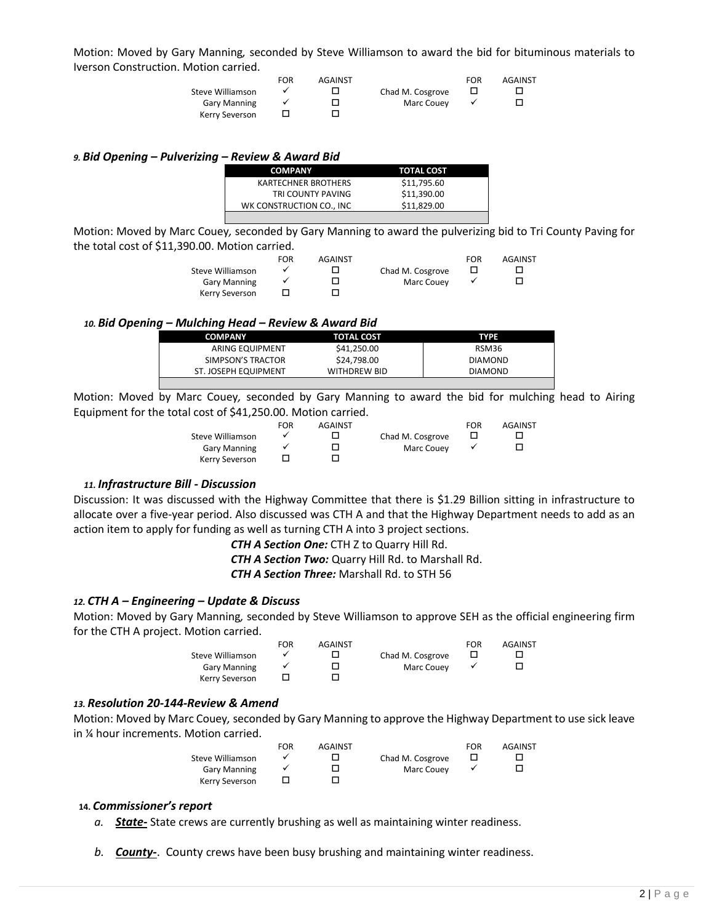Motion: Moved by Gary Manning*,* seconded by Steve Williamson to award the bid for bituminous materials to Iverson Construction. Motion carried.

|                     | <b>FOR</b> | <b>AGAINST</b> |                  | FOR | AGAINST |
|---------------------|------------|----------------|------------------|-----|---------|
| Steve Williamson    |            |                | Chad M. Cosgrove |     |         |
| <b>Gary Manning</b> |            |                | Marc Couev       |     |         |
| Kerry Severson      |            |                |                  |     |         |

# *9. Bid Opening – Pulverizing – Review & Award Bid*

| <b>COMPANY</b>             | TOTAL COST  |
|----------------------------|-------------|
| <b>KARTECHNER BROTHERS</b> | \$11,795.60 |
| TRI COUNTY PAVING          | \$11.390.00 |
| WK CONSTRUCTION CO., INC.  | \$11.829.00 |
|                            |             |

Motion: Moved by Marc Couey*,* seconded by Gary Manning to award the pulverizing bid to Tri County Paving for the total cost of \$11,390.00. Motion carried.

|                     | FOR | <b>AGAINST</b> |                  | <b>FOR</b> | AGAINST |
|---------------------|-----|----------------|------------------|------------|---------|
| Steve Williamson    |     |                | Chad M. Cosgrove |            |         |
| <b>Gary Manning</b> |     |                | Marc Couev       |            |         |
| Kerry Severson      |     |                |                  |            |         |

#### *10. Bid Opening – Mulching Head – Review & Award Bid*

| <b>COMPANY</b>       | <b>TOTAL COST</b>   | TYPE           |
|----------------------|---------------------|----------------|
| ARING EQUIPMENT      | \$41,250.00         | RSM36          |
| SIMPSON'S TRACTOR    | \$24.798.00         | <b>DIAMOND</b> |
| ST. JOSEPH EQUIPMENT | <b>WITHDREW BID</b> | <b>DIAMOND</b> |
|                      |                     |                |

Motion: Moved by Marc Couey*,* seconded by Gary Manning to award the bid for mulching head to Airing Equipment for the total cost of \$41,250.00. Motion carried.

| FOR | <b>AGAINST</b> |                  | FOR | <b>AGAINST</b> |
|-----|----------------|------------------|-----|----------------|
|     |                | Chad M. Cosgrove |     |                |
|     |                | Marc Couev       |     |                |
|     |                |                  |     |                |
|     |                |                  |     |                |

#### *11. Infrastructure Bill - Discussion*

Discussion: It was discussed with the Highway Committee that there is \$1.29 Billion sitting in infrastructure to allocate over a five-year period. Also discussed was CTH A and that the Highway Department needs to add as an action item to apply for funding as well as turning CTH A into 3 project sections.

*CTH A Section One:* CTH Z to Quarry Hill Rd.

*CTH A Section Two:* Quarry Hill Rd. to Marshall Rd.

*CTH A Section Three:* Marshall Rd. to STH 56

#### *12. CTH A – Engineering – Update & Discuss*

Motion: Moved by Gary Manning*,* seconded by Steve Williamson to approve SEH as the official engineering firm for the CTH A project. Motion carried.

|                     | FOR | <b>AGAINST</b> |                  | FOR | AGAINST |
|---------------------|-----|----------------|------------------|-----|---------|
| Steve Williamson    |     |                | Chad M. Cosgrove |     |         |
| <b>Gary Manning</b> |     |                | Marc Couev       |     |         |
| Kerry Severson      |     |                |                  |     |         |

#### *13. Resolution 20-144-Review & Amend*

Motion: Moved by Marc Couey*,* seconded by Gary Manning to approve the Highway Department to use sick leave in ¼ hour increments. Motion carried.

|                     | <b>FOR</b> | <b>AGAINST</b> |                  | FOR | <b>AGAINST</b> |
|---------------------|------------|----------------|------------------|-----|----------------|
| Steve Williamson    |            |                | Chad M. Cosgrove |     |                |
| <b>Gary Manning</b> |            |                | Marc Couev       |     |                |
| Kerry Severson      |            |                |                  |     |                |

#### **14.** *Commissioner's report*

- *a. State-* State crews are currently brushing as well as maintaining winter readiness.
- *b. County-*. County crews have been busy brushing and maintaining winter readiness.